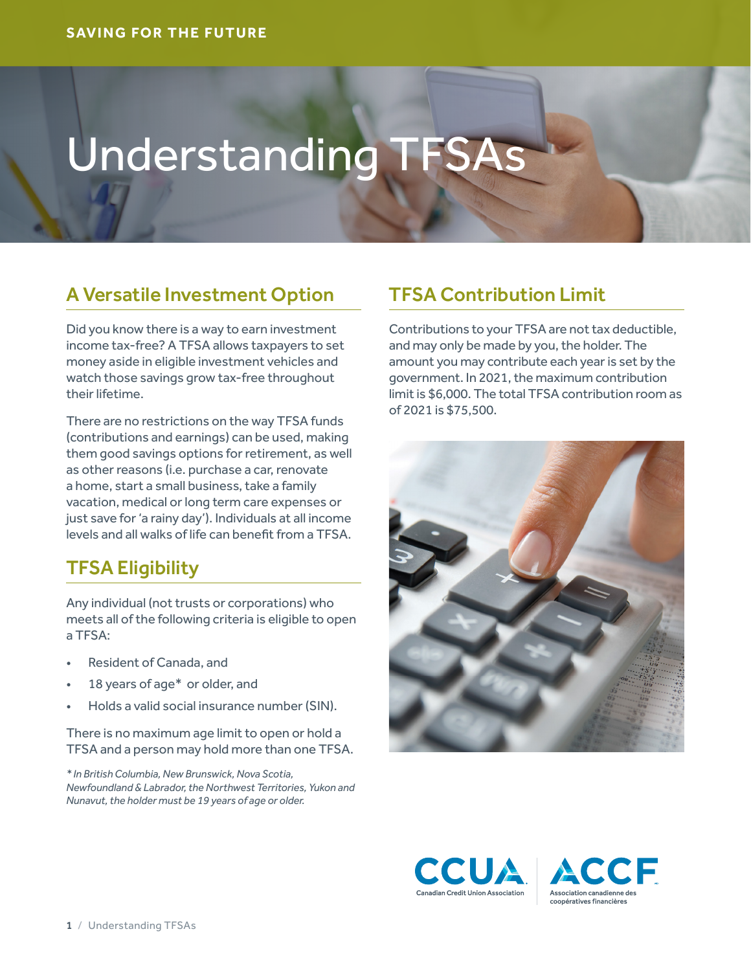# Understanding TFSAs

## A Versatile Investment Option

Did you know there is a way to earn investment income tax-free? A TFSA allows taxpayers to set money aside in eligible investment vehicles and watch those savings grow tax-free throughout their lifetime.

There are no restrictions on the way TFSA funds (contributions and earnings) can be used, making them good savings options for retirement, as well as other reasons (i.e. purchase a car, renovate a home, start a small business, take a family vacation, medical or long term care expenses or just save for 'a rainy day'). Individuals at all income levels and all walks of life can benefit from a TFSA.

### TFSA Eligibility

Any individual (not trusts or corporations) who meets all of the following criteria is eligible to open a TFSA:

- Resident of Canada, and
- 18 years of age\* or older, and
- Holds a valid social insurance number (SIN).

There is no maximum age limit to open or hold a TFSA and a person may hold more than one TFSA.

*\* In British Columbia, New Brunswick, Nova Scotia, Newfoundland & Labrador, the Northwest Territories, Yukon and Nunavut, the holder must be 19 years of age or older.*

## TFSA Contribution Limit

Contributions to your TFSA are not tax deductible, and may only be made by you, the holder. The amount you may contribute each year is set by the government. In 2021, the maximum contribution limit is \$6,000. The total TFSA contribution room as of 2021 is \$75,500.





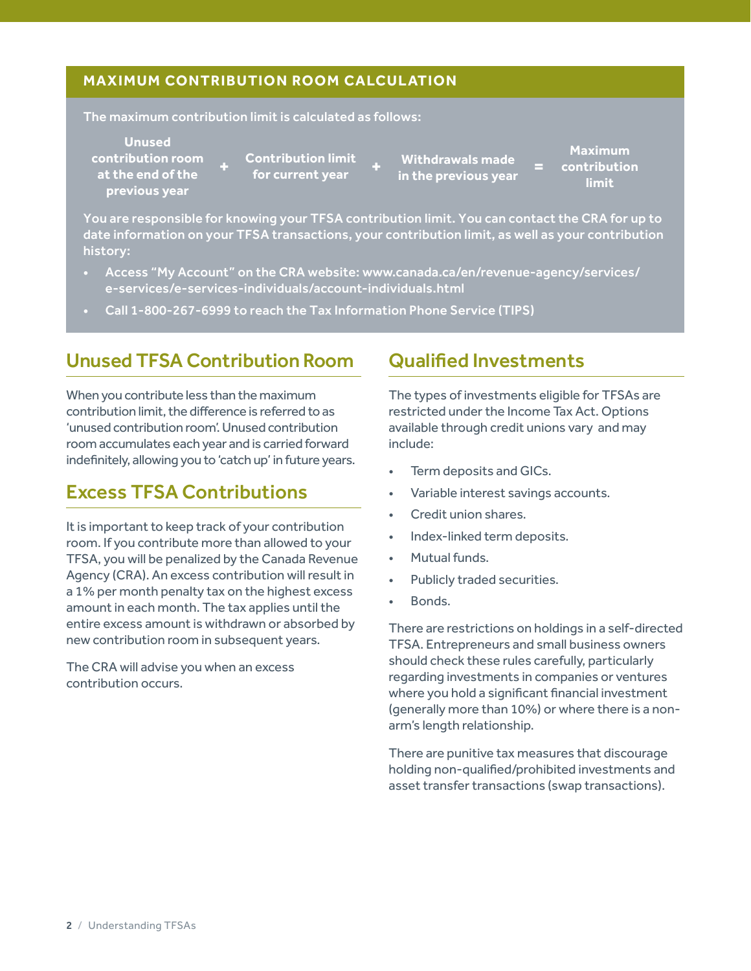#### **MAXIMUM CONTRIBUTION ROOM CALCUL ATION**

The maximum contribution limit is calculated as follows:

**Unused contribution room at the end of the** 

**previous year**

**+ + = in the previous year Contribution limit for current year**

**Withdrawals made** 

**Maximum contribution limit**

You are responsible for knowing your TFSA contribution limit. You can contact the CRA for up to date information on your TFSA transactions, your contribution limit, as well as your contribution history:

- Access "My Account" on the CRA website: [www.canada.ca/en/revenue-agency/services/](https://www.canada.ca/en/revenue-agency/services/e-services/e-services-individuals/account-individuals.html) [e-services/e-services-individuals/account-individuals.html](https://www.canada.ca/en/revenue-agency/services/e-services/e-services-individuals/account-individuals.html)
- Call 1-800-267-6999 to reach the Tax Information Phone Service (TIPS)

#### Unused TFSA Contribution Room

When you contribute less than the maximum contribution limit, the difference is referred to as 'unused contribution room'. Unused contribution room accumulates each year and is carried forward indefinitely, allowing you to 'catch up' in future years.

### Excess TFSA Contributions

It is important to keep track of your contribution room. If you contribute more than allowed to your TFSA, you will be penalized by the Canada Revenue Agency (CRA). An excess contribution will result in a 1% per month penalty tax on the highest excess amount in each month. The tax applies until the entire excess amount is withdrawn or absorbed by new contribution room in subsequent years.

The CRA will advise you when an excess contribution occurs.

#### Qualified Investments

The types of investments eligible for TFSAs are restricted under the Income Tax Act. Options available through credit unions vary and may include:

- Term deposits and GICs.
- Variable interest savings accounts.
- Credit union shares.
- Index-linked term deposits.
- Mutual funds.
- Publicly traded securities.
- Bonds.

There are restrictions on holdings in a self-directed TFSA. Entrepreneurs and small business owners should check these rules carefully, particularly regarding investments in companies or ventures where you hold a significant financial investment (generally more than 10%) or where there is a nonarm's length relationship.

There are punitive tax measures that discourage holding non-qualified/prohibited investments and asset transfer transactions (swap transactions).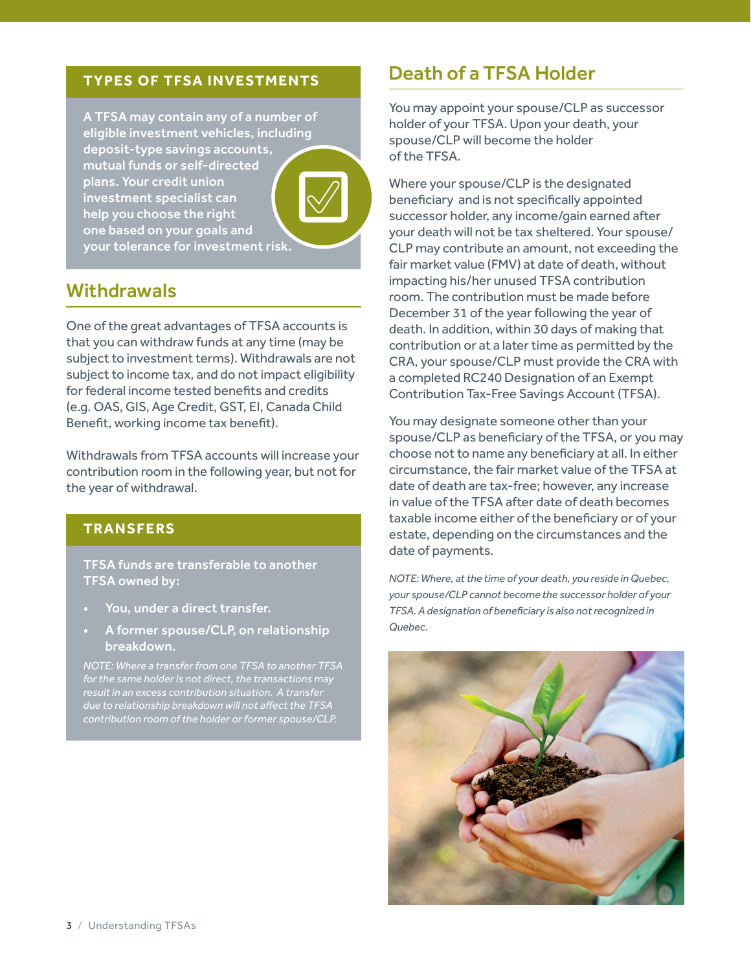#### **TYPES OF TFSA INVESTMENTS**

A TFSA may contain any of a number of eligible investment vehicles, including deposit-type savings accounts, mutual funds or self-directed plans. Your credit union investment specialist can help you choose the right one based on your goals and your tolerance for investment risk.

#### **Withdrawals**

One of the great advantages of TFSA accounts is that you can withdraw funds at any time (may be subject to investment terms). Withdrawals are not subject to income tax, and do not impact eligibility for federal income tested benefits and credits (e.g. OAS, GIS, Age Credit, GST, EI, Canada Child Benefit, working income tax benefit).

Withdrawals from TFSA accounts will increase your contribution room in the following year, but not for the year of withdrawal.

#### **TRANSFERS**

TFSA funds are transferable to another TFSA owned by:

- You, under a direct transfer.
- A former spouse/CLP, on relationship breakdown.

*NOTE: Where a transfer from one TFSA to another TFSA due to relationship breakdown will not affect the TFSA* 

### Death of a TFSA Holder

You may appoint your spouse/CLP as successor holder of your TFSA. Upon your death, your spouse/CLP will become the holder of the TFSA.

Where your spouse/CLP is the designated beneficiary and is not specifically appointed successor holder, any income/gain earned after your death will not be tax sheltered. Your spouse/ CLP may contribute an amount, not exceeding the fair market value (FMV) at date of death, without impacting his/her unused TFSA contribution room. The contribution must be made before December 31 of the year following the year of death. In addition, within 30 days of making that contribution or at a later time as permitted by the CRA, your spouse/CLP must provide the CRA with a completed RC240 Designation of an Exempt Contribution Tax-Free Savings Account (TFSA).

You may designate someone other than your spouse/CLP as beneficiary of the TFSA, or you may choose not to name any beneficiary at all. In either circumstance, the fair market value of the TFSA at date of death are tax-free; however, any increase in value of the TFSA after date of death becomes taxable income either of the beneficiary or of your estate, depending on the circumstances and the date of payments.

*NOTE: Where, at the time of your death, you reside in Quebec, your spouse/CLP cannot become the successor holder of your TFSA. A designation of beneficiary is also not recognized in Quebec.*